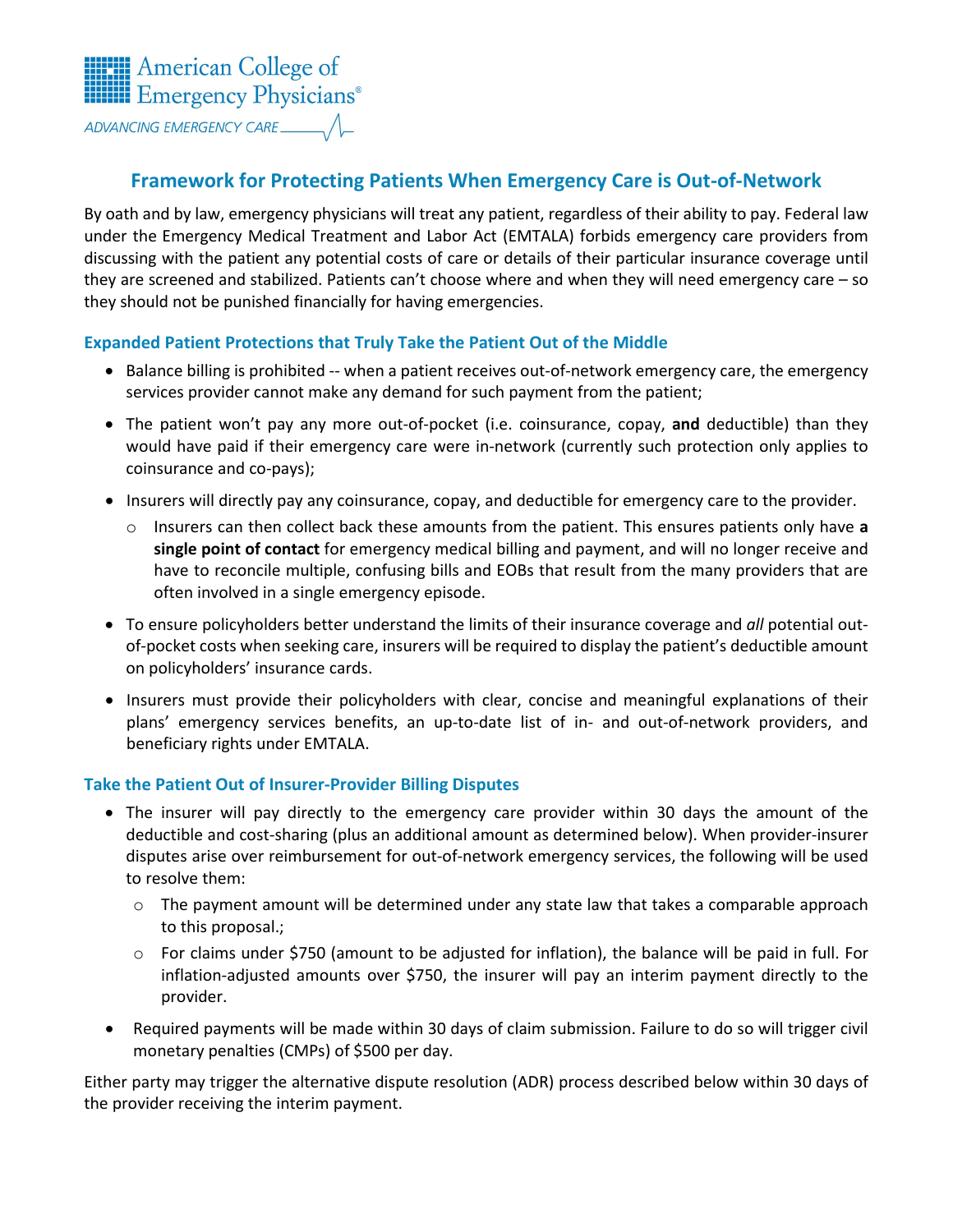

# **Framework for Protecting Patients When Emergency Care is Out-of-Network**

By oath and by law, emergency physicians will treat any patient, regardless of their ability to pay. Federal law under the Emergency Medical Treatment and Labor Act (EMTALA) forbids emergency care providers from discussing with the patient any potential costs of care or details of their particular insurance coverage until they are screened and stabilized. Patients can't choose where and when they will need emergency care – so they should not be punished financially for having emergencies.

# **Expanded Patient Protections that Truly Take the Patient Out of the Middle**

- Balance billing is prohibited -- when a patient receives out-of-network emergency care, the emergency services provider cannot make any demand for such payment from the patient;
- The patient won't pay any more out-of-pocket (i.e. coinsurance, copay, **and** deductible) than they would have paid if their emergency care were in-network (currently such protection only applies to coinsurance and co-pays);
- Insurers will directly pay any coinsurance, copay, and deductible for emergency care to the provider.
	- o Insurers can then collect back these amounts from the patient. This ensures patients only have **a single point of contact** for emergency medical billing and payment, and will no longer receive and have to reconcile multiple, confusing bills and EOBs that result from the many providers that are often involved in a single emergency episode.
- To ensure policyholders better understand the limits of their insurance coverage and *all* potential outof-pocket costs when seeking care, insurers will be required to display the patient's deductible amount on policyholders' insurance cards.
- Insurers must provide their policyholders with clear, concise and meaningful explanations of their plans' emergency services benefits, an up-to-date list of in- and out-of-network providers, and beneficiary rights under EMTALA.

### **Take the Patient Out of Insurer-Provider Billing Disputes**

- The insurer will pay directly to the emergency care provider within 30 days the amount of the deductible and cost-sharing (plus an additional amount as determined below). When provider-insurer disputes arise over reimbursement for out-of-network emergency services, the following will be used to resolve them:
	- $\circ$  The payment amount will be determined under any state law that takes a comparable approach to this proposal.;
	- o For claims under \$750 (amount to be adjusted for inflation), the balance will be paid in full. For inflation-adjusted amounts over \$750, the insurer will pay an interim payment directly to the provider.
- Required payments will be made within 30 days of claim submission. Failure to do so will trigger civil monetary penalties (CMPs) of \$500 per day.

Either party may trigger the alternative dispute resolution (ADR) process described below within 30 days of the provider receiving the interim payment.